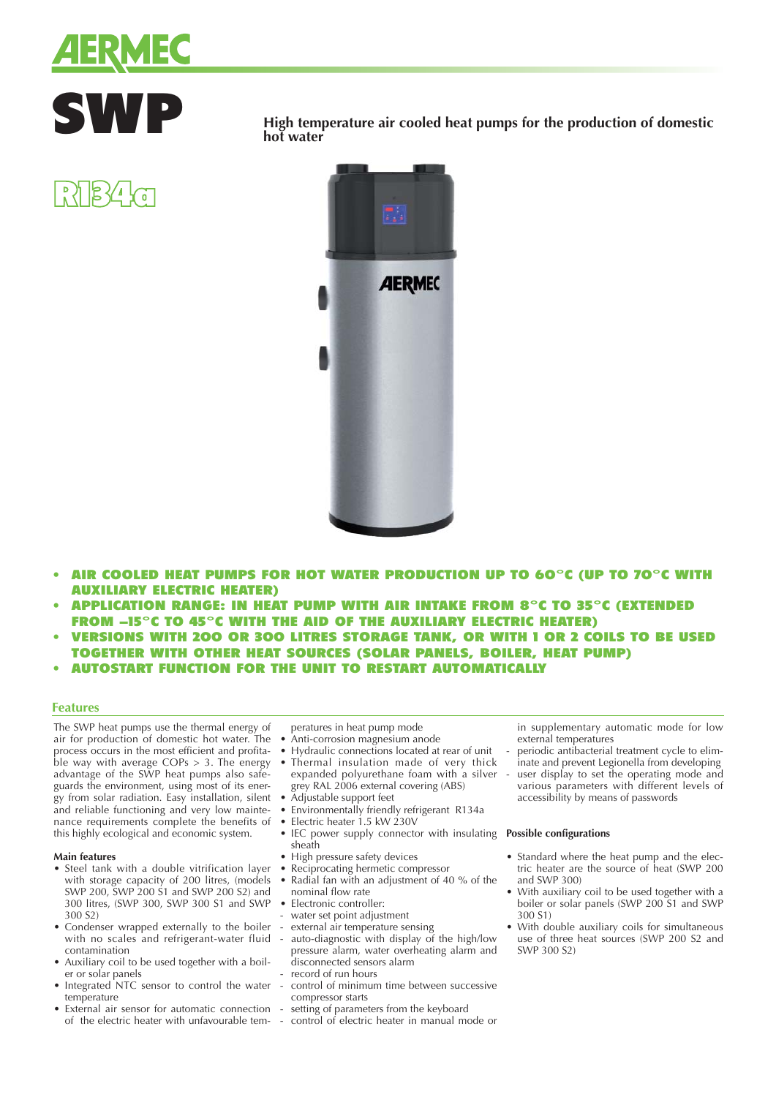



 $\frac{1}{2}$   $\frac{1}{2}$   $\frac{1}{2}$   $\frac{1}{2}$ 

**SWP** High temperature air cooled heat pumps for the production of domestic hot water **hot water**



- AIR COOLED HEAT PUMPS FOR HOT WATER PRODUCTION UP TO 60°C (UP TO 70°C WITH AUXILIARY ELECTRIC HEATER)
- APPLICATION RANGE: IN HEAT PUMP WITH AIR INTAKE FROM 8°C TO 35°C (EXTENDED FROM -15°C TO 45°C WITH THE AID OF THE AUXILIARY ELECTRIC HEATER)
- VERSIONS WITH 200 OR 300 LITRES STORAGE TANK, OR WITH 1 OR 2 COILS TO BE USED TOGETHER WITH OTHER HEAT SOURCES (SOLAR PANELS, BOILER, HEAT PUMP)
- AUTOSTART FUNCTION FOR THE UNIT TO RESTART AUTOMATICALLY

## **Features**

The SWP heat pumps use the thermal energy of air for production of domestic hot water. The process occurs in the most efficient and profitable way with average  $COPs > 3$ . The energy advantage of the SWP heat pumps also safeguards the environment, using most of its energy from solar radiation. Easy installation, silent and reliable functioning and very low maintenance requirements complete the benefits of this highly ecological and economic system.

### **Main features**

- Steel tank with a double vitrification layer with storage capacity of 200 litres, (models SWP 200, SWP 200 S1 and SWP 200 S2) and 300 litres, (SWP 300, SWP 300 S1 and SWP 300 S2)
- Condenser wrapped externally to the boiler with no scales and refrigerant-water fluid contamination
- Auxiliary coil to be used together with a boiler or solar panels
- Integrated NTC sensor to control the water temperature
- External air sensor for automatic connection of the electric heater with unfavourable tem-
- peratures in heat pump mode
- Anti-corrosion magnesium anode
- Hydraulic connections located at rear of unit Thermal insulation made of very thick
- expanded polyurethane foam with a silver grey RAL 2006 external covering (ABS)
- Adjustable support feet
- Environmentally friendly refrigerant R134a<br>• Electric heater 1.5 kW 230V
- Electric heater 1.5 kW 230V
- IEC power supply connector with insulating sheath
- High pressure safety devices
- Reciprocating hermetic compressor
- Radial fan with an adjustment of 40 % of the nominal flow rate
- Electronic controller:
- water set point adjustment
- external air temperature sensing
- auto-diagnostic with display of the high/low pressure alarm, water overheating alarm and disconnected sensors alarm
- record of run hours
- control of minimum time between successive compressor starts
- setting of parameters from the keyboard
- control of electric heater in manual mode or

in supplementary automatic mode for low external temperatures

- periodic antibacterial treatment cycle to eliminate and prevent Legionella from developing
- user display to set the operating mode and various parameters with different levels of accessibility by means of passwords

## **Possible configurations**

- Standard where the heat pump and the electric heater are the source of heat (SWP 200 and SWP 300)
- With auxiliary coil to be used together with a boiler or solar panels (SWP 200 S1 and SWP 300 S1)
- With double auxiliary coils for simultaneous use of three heat sources (SWP 200 S2 and SWP 300 S2)